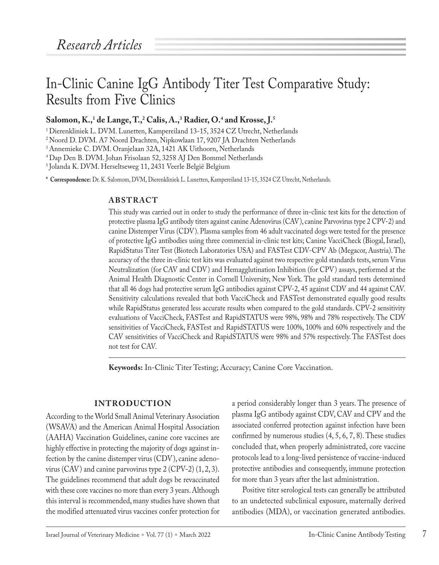# In-Clinic Canine IgG Antibody Titer Test Comparative Study: Results from Five Clinics

## **Salomon, K.,1 de Lange, T.,2 Calis, A.,3 Radier, O.4 and Krosse, J.5**

<sup>1</sup> Dierenkliniek L. DVM. Lunetten, Kampereiland 13-15, 3524 CZ Utrecht, Netherlands

2Noord D. DVM. A7 Noord Drachten, Nipkowlaan 17, 9207 JA Drachten Netherlands

<sup>3</sup> Annemieke C. DVM. Oranjelaan 32A, 1421 AK Uithoorn, Netherlands

<sup>4</sup> Dap Den B. DVM. Johan Frisolaan 52, 3258 AJ Den Bommel Netherlands

<sup>5</sup> Jolanda K. DVM. Herseltseweg 11, 2431 Veerle België Belgium

**\* Correspondence:** Dr. K. Salomom, DVM, Dierenkliniek L. Lunetten, Kampereiland 13-15, 3524 CZ Utrecht, Netherlands.

#### **ABSTRACT**

This study was carried out in order to study the performance of three in-clinic test kits for the detection of protective plasma IgG antibody titers against canine Adenovirus (CAV), canine Parvovirus type 2 CPV-2) and canine Distemper Virus (CDV). Plasma samples from 46 adult vaccinated dogs were tested for the presence of protective IgG antibodies using three commercial in-clinic test kits; Canine VacciCheck (Biogal, Israel), RapidStatus Titer Test (Biotech Laboratories USA) and FASTest CDV-CPV Ab (Megacor, Austria). The accuracy of the three in-clinic test kits was evaluated against two respective gold standards tests, serum Virus Neutralization (for CAV and CDV) and Hemagglutination Inhibition (for CPV) assays, performed at the Animal Health Diagnostic Center in Cornell University, New York. The gold standard tests determined that all 46 dogs had protective serum IgG antibodies against CPV-2, 45 against CDV and 44 against CAV. Sensitivity calculations revealed that both VacciCheck and FASTest demonstrated equally good results while RapidStatus generated less accurate results when compared to the gold standards. CPV-2 sensitivity evaluations of VacciCheck, FASTest and RapidSTATUS were 98%, 98% and 78% respectively. The CDV sensitivities of VacciCheck, FASTest and RapidSTATUS were 100%, 100% and 60% respectively and the CAV sensitivities of VacciCheck and RapidSTATUS were 98% and 57% respectively. The FASTest does not test for CAV.

**Keywords:** In-Clinic Titer Testing; Accuracy; Canine Core Vaccination.

#### **INTRODUCTION**

According to the World Small Animal Veterinary Association (WSAVA) and the American Animal Hospital Association (AAHA) Vaccination Guidelines, canine core vaccines are highly effective in protecting the majority of dogs against infection by the canine distemper virus (CDV), canine adenovirus (CAV) and canine parvovirus type 2 (CPV-2) (1, 2, 3). The guidelines recommend that adult dogs be revaccinated with these core vaccines no more than every 3 years. Although this interval is recommended, many studies have shown that the modified attenuated virus vaccines confer protection for a period considerably longer than 3 years. The presence of plasma IgG antibody against CDV, CAV and CPV and the associated conferred protection against infection have been confirmed by numerous studies (4, 5, 6, 7, 8). These studies concluded that, when properly administrated, core vaccine protocols lead to a long-lived persistence of vaccine-induced protective antibodies and consequently, immune protection for more than 3 years after the last administration.

Positive titer serological tests can generally be attributed to an undetected subclinical exposure, maternally derived antibodies (MDA), or vaccination generated antibodies.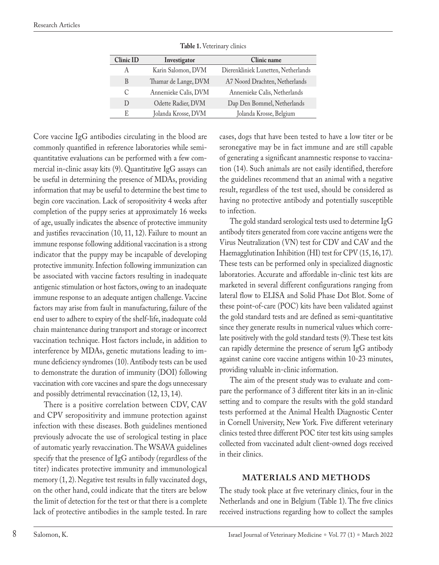| <b>Clinic ID</b> | Investigator         | Clinic name                         |
|------------------|----------------------|-------------------------------------|
| А                | Karin Salomon, DVM   | Dierenkliniek Lunetten, Netherlands |
| B                | Thamar de Lange, DVM | A7 Noord Drachten, Netherlands      |
| C                | Annemieke Calis, DVM | Annemieke Calis, Netherlands        |
| $\Box$           | Odette Radier, DVM   | Dap Den Bommel, Netherlands         |
| E                | Jolanda Krosse, DVM  | Jolanda Krosse, Belgium             |
|                  |                      |                                     |

**Table 1.** Veterinary clinics

Core vaccine IgG antibodies circulating in the blood are commonly quantified in reference laboratories while semiquantitative evaluations can be performed with a few commercial in-clinic assay kits (9). Quantitative IgG assays can be useful in determining the presence of MDAs, providing information that may be useful to determine the best time to begin core vaccination. Lack of seropositivity 4 weeks after completion of the puppy series at approximately 16 weeks of age, usually indicates the absence of protective immunity and justifies revaccination (10, 11, 12). Failure to mount an immune response following additional vaccination is a strong indicator that the puppy may be incapable of developing protective immunity. Infection following immunization can be associated with vaccine factors resulting in inadequate antigenic stimulation or host factors, owing to an inadequate immune response to an adequate antigen challenge. Vaccine factors may arise from fault in manufacturing, failure of the end user to adhere to expiry of the shelf-life, inadequate cold chain maintenance during transport and storage or incorrect vaccination technique. Host factors include, in addition to interference by MDAs, genetic mutations leading to immune deficiency syndromes (10). Antibody tests can be used to demonstrate the duration of immunity (DOI) following vaccination with core vaccines and spare the dogs unnecessary and possibly detrimental revaccination (12, 13, 14).

There is a positive correlation between CDV, CAV and CPV seropositivity and immune protection against infection with these diseases. Both guidelines mentioned previously advocate the use of serological testing in place of automatic yearly revaccination. The WSAVA guidelines specify that the presence of IgG antibody (regardless of the titer) indicates protective immunity and immunological memory (1, 2). Negative test results in fully vaccinated dogs, on the other hand, could indicate that the titers are below the limit of detection for the test or that there is a complete lack of protective antibodies in the sample tested. In rare

cases, dogs that have been tested to have a low titer or be seronegative may be in fact immune and are still capable of generating a significant anamnestic response to vaccination (14). Such animals are not easily identified, therefore the guidelines recommend that an animal with a negative result, regardless of the test used, should be considered as having no protective antibody and potentially susceptible to infection.

The gold standard serological tests used to determine IgG antibody titers generated from core vaccine antigens were the Virus Neutralization (VN) test for CDV and CAV and the Haemagglutination Inhibition (HI) test for CPV (15, 16, 17). These tests can be performed only in specialized diagnostic laboratories. Accurate and affordable in-clinic test kits are marketed in several different configurations ranging from lateral flow to ELISA and Solid Phase Dot Blot. Some of these point-of-care (POC) kits have been validated against the gold standard tests and are defined as semi-quantitative since they generate results in numerical values which correlate positively with the gold standard tests (9). These test kits can rapidly determine the presence of serum IgG antibody against canine core vaccine antigens within 10-23 minutes, providing valuable in-clinic information.

The aim of the present study was to evaluate and compare the performance of 3 different titer kits in an in-clinic setting and to compare the results with the gold standard tests performed at the Animal Health Diagnostic Center in Cornell University, New York. Five different veterinary clinics tested three different POC titer test kits using samples collected from vaccinated adult client-owned dogs received in their clinics.

#### **MATERIALS AND METHODS**

The study took place at five veterinary clinics, four in the Netherlands and one in Belgium (Table 1). The five clinics received instructions regarding how to collect the samples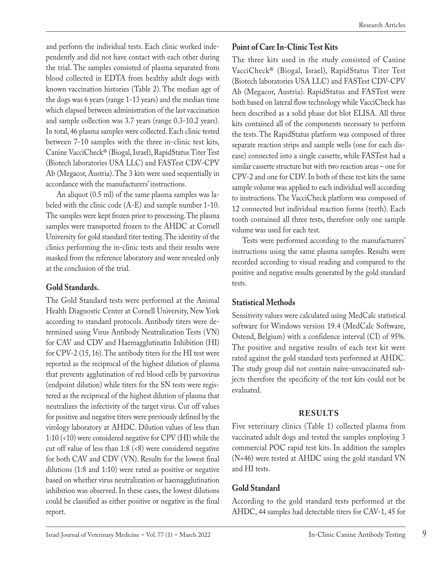and perform the individual tests. Each clinic worked independently and did not have contact with each other during the trial. The samples consisted of plasma separated from blood collected in EDTA from healthy adult dogs with known vaccination histories (Table 2). The median age of the dogs was 6 years (range 1-13 years) and the median time which elapsed between administration of the last vaccination and sample collection was 3.7 years (range 0.3-10.2 years). In total, 46 plasma samples were collected. Each clinic tested between 7-10 samples with the three in-clinic test kits, Canine VacciCheck® (Biogal, Israel), RapidStatus Titer Test (Biotech laboratories USA LLC) and FASTest CDV-CPV Ab (Megacor, Austria). The 3 kits were used sequentially in accordance with the manufacturers' instructions.

An aliquot (0.5 ml) of the same plasma samples was labeled with the clinic code (A-E) and sample number 1-10. The samples were kept frozen prior to processing. The plasma samples were transported frozen to the AHDC at Cornell University for gold standard titer testing. The identity of the clinics performing the in-clinic tests and their results were masked from the reference laboratory and were revealed only at the conclusion of the trial.

### **Gold Standards.**

The Gold Standard tests were performed at the Animal Health Diagnostic Center at Cornell University, New York according to standard protocols. Antibody titers were determined using Virus Antibody Neutralization Tests (VN) for CAV and CDV and Haemagglutinatin Inhibition (HI) for CPV-2 (15, 16). The antibody titers for the HI test were reported as the reciprocal of the highest dilution of plasma that prevents agglutination of red blood cells by parvovirus (endpoint dilution) while titers for the SN tests were registered as the reciprocal of the highest dilution of plasma that neutralizes the infectivity of the target virus. Cut off values for positive and negative titers were previously defined by the virology laboratory at AHDC. Dilution values of less than 1:10 (<10) were considered negative for CPV (HI) while the cut off value of less than 1:8 (<8) were considered negative for both CAV and CDV (VN). Results for the lowest final dilutions (1:8 and 1:10) were rated as positive or negative based on whether virus neutralization or haemagglutination inhibition was observed. In these cases, the lowest dilutions could be classified as either positive or negative in the final report.

### **Point of Care In-Clinic Test Kits**

The three kits used in the study consisted of Canine VacciCheck® (Biogal, Israel), RapidStatus Titer Test (Biotech laboratories USA LLC) and FASTest CDV-CPV Ab (Megacor, Austria). RapidStatus and FASTest were both based on lateral flow technology while VacciCheck has been described as a solid phase dot blot ELISA. All three kits contained all of the components necessary to perform the tests. The RapidStatus platform was composed of three separate reaction strips and sample wells (one for each disease) connected into a single cassette, while FASTest had a similar cassette structure but with two reaction areas – one for CPV-2 and one for CDV. In both of these test kits the same sample volume was applied to each individual well according to instructions. The VacciCheck platform was composed of 12 connected but individual reaction forms (teeth). Each tooth contained all three tests, therefore only one sample volume was used for each test.

Tests were performed according to the manufacturers' instructions using the same plasma samples. Results were recorded according to visual reading and compared to the positive and negative results generated by the gold standard tests.

### **Statistical Methods**

Sensitivity values were calculated using MedCalc statistical software for Windows version 19.4 (MedCalc Software, Ostend, Belgium) with a confidence interval (CI) of 95%. The positive and negative results of each test kit were rated against the gold standard tests performed at AHDC. The study group did not contain naïve-unvaccinated subjects therefore the specificity of the test kits could not be evaluated.

### **RESULTS**

Five veterinary clinics (Table 1) collected plasma from vaccinated adult dogs and tested the samples employing 3 commercial POC rapid test kits. In addition the samples (N=46) were tested at AHDC using the gold standard VN and HI tests.

### **Gold Standard**

According to the gold standard tests performed at the AHDC, 44 samples had detectable titers for CAV-1, 45 for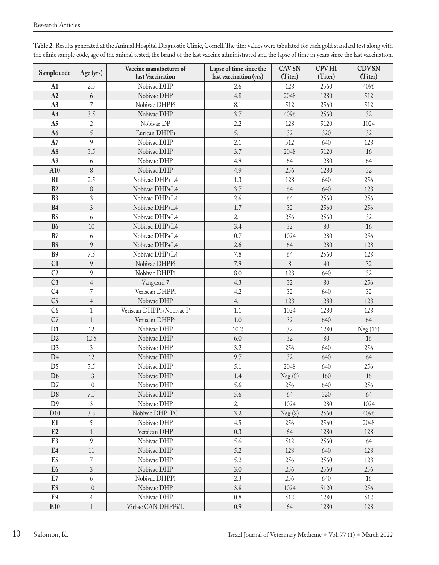| Sample code     | Age (yrs)      | Vaccine manufacturer of<br>last Vaccination | Lapse of time since the<br>last vaccination (yrs) | <b>CAV SN</b><br>(Titer) | <b>CPVHI</b><br>(Titer) | <b>CDVSN</b><br>(Titer) |
|-----------------|----------------|---------------------------------------------|---------------------------------------------------|--------------------------|-------------------------|-------------------------|
| A1              | 2.5            | Nobivac DHP                                 | 2.6                                               | 128                      | 2560                    | 4096                    |
| A2              | 6              | Nobivac DHP                                 | 4.8                                               | 2048                     | 1280                    | 512                     |
| A3              | $\overline{7}$ | Nobivac DHPPi                               | 8.1                                               | 512                      | 2560                    | 512                     |
| A <sub>4</sub>  | 3.5            | Nobivac DHP                                 | 3.7                                               | 4096                     | 2560                    | 32                      |
| A <sub>5</sub>  | $\overline{2}$ | Nobivac DP                                  | 2.2                                               | 128                      | 5120                    | 1024                    |
| A <sub>6</sub>  | $\overline{5}$ | Eurican DHPPi                               | 5.1                                               | 32                       | 320                     | 32                      |
| A7              | 9              | Nobivac DHP                                 | 2.1                                               | 512                      | 640                     | 128                     |
| A8              | 3.5            | Nobivac DHP                                 | 3.7                                               | 2048                     | 5120                    | 16                      |
| A9              | 6              | Nobivac DHP                                 | 4.9                                               | 64                       | 1280                    | 64                      |
| A10             | 8              | Nobivac DHP                                 | 4.9                                               | 256                      | 1280                    | 32                      |
| B1              | 2.5            | Nobivac DHP+L4                              | 1.3                                               | 128                      | 640                     | 256                     |
| B2              | 8              | Nobivac DHP+L4                              | 3.7                                               | 64                       | 640                     | 128                     |
| B <sub>3</sub>  | $\mathfrak{Z}$ | Nobivac DHP+L4                              | 2.6                                               | 64                       | 2560                    | 256                     |
| <b>B4</b>       | $\mathfrak{Z}$ | Nobivac DHP+L4                              | 1.7                                               | 32                       | 2560                    | 256                     |
| B <sub>5</sub>  | 6              | Nobivac DHP+L4                              | 2.1                                               | 256                      | 2560                    | 32                      |
| <b>B6</b>       | 10             | Nobivac DHP+L4                              | 3.4                                               | 32                       | 80                      | 16                      |
| B7              | 6              | Nobivac DHP+L4                              | 0.7                                               | 1024                     | 1280                    | 256                     |
| B <sub>8</sub>  | 9              | Nobivac DHP+L4                              | 2.6                                               | 64                       | 1280                    | 128                     |
| B <sub>9</sub>  | 7.5            | Nobivac DHP+L4                              | 7.8                                               | 64                       | 2560                    | 128                     |
| C <sub>1</sub>  | 9              | Nobivac DHPPi                               | 7.9                                               | 8                        | 40                      | 32                      |
| C <sub>2</sub>  | 9              | Nobivac DHPPi                               | 8.0                                               | 128                      | 640                     | 32                      |
| C <sub>3</sub>  | $\overline{4}$ | Vanguard 7                                  | 4.3                                               | 32                       | 80                      | 256                     |
| C <sub>4</sub>  | $\overline{7}$ | Veriscan DHPPi                              | 4.2                                               | 32                       | 640                     | 32                      |
| C <sub>5</sub>  | $\overline{4}$ | Nobivac DHP                                 | 4.1                                               | 128                      | 1280                    | 128                     |
| C6              | $\mathbf{1}$   | Veriscan DHPPi+Nobivac P                    | 1.1                                               | 1024                     | 1280                    | 128                     |
| C7              | $\mathbf{1}$   | Veriscan DHPPi                              | 1.0                                               | 32                       | 640                     | 64                      |
| D <sub>1</sub>  | 12             | Nobivac DHP                                 | 10.2                                              | 32                       | 1280                    | Neg (16)                |
| D2              | 12.5           | Nobivac DHP                                 | 6.0                                               | 32                       | 80                      | 16                      |
| D <sub>3</sub>  | 3              | Nobivac DHP                                 | 3.2                                               | 256                      | 640                     | 256                     |
| D <sub>4</sub>  | 12             | Nobivac DHP                                 | 9.7                                               | 32                       | 640                     | 64                      |
| D <sub>5</sub>  | 5.5            | Nobivac DHP                                 | 5.1                                               | 2048                     | 640                     | 256                     |
| D <sub>6</sub>  | 13             | Nobivac DHP                                 | 1.4                                               | Neg(8)                   | 160                     | 16                      |
| D7              | 10             | Nobivac DHP                                 | 5.6                                               | 256                      | 640                     | 256                     |
| D <sub>8</sub>  | $7.5\,$        | Nobivac DHP                                 | 5.6                                               | 64                       | 320                     | 64                      |
| D <sub>9</sub>  | 3              | Nobivac DHP                                 | 2.1                                               | 1024                     | 1280                    | 1024                    |
| D <sub>10</sub> | 3.3            | Nobivac DHP+PC                              | 3.2                                               | Neg(8)                   | 2560                    | 4096                    |
| E1              | 5              | Nobivac DHP                                 | 4.5                                               | 256                      | 2560                    | 2048                    |
| E2              | $1\,$          | Versican DHP                                | 0.3                                               | 64                       | 1280                    | 128                     |
| E <sub>3</sub>  | 9              | Nobivac DHP                                 | 5.6                                               | 512                      | 2560                    | 64                      |
| E <sub>4</sub>  | $11\,$         | Nobivac DHP                                 | 5.2                                               | 128                      | 640                     | 128                     |
| E <sub>5</sub>  | 7              | Nobivac DHP                                 | 5.2                                               | 256                      | 2560                    | 128                     |
| E <sub>6</sub>  | $\mathfrak{Z}$ | Nobivac DHP                                 | 3.0                                               | 256                      | 2560                    | 256                     |
| E7              | 6              | Nobivac DHPPi                               | 2.3                                               | 256                      | 640                     | 16                      |
| E8              | 10             | Nobivac DHP                                 | 3.8                                               | 1024                     | 5120                    | 256                     |
| E9              | 4              | Nobivac DHP                                 | 0.8                                               | 512                      | 1280                    | 512                     |
| E10             | $\mathbf{1}$   | Virbac CAN DHPPi/L                          | 0.9                                               | 64                       | 1280                    | 128                     |

**Table 2.** Results generated at the Animal Hospital Diagnostic Clinic, Cornell. The titer values were tabulated for each gold standard test along with the clinic sample code, age of the animal tested, the brand of the last vaccine administrated and the lapse of time in years since the last vaccination.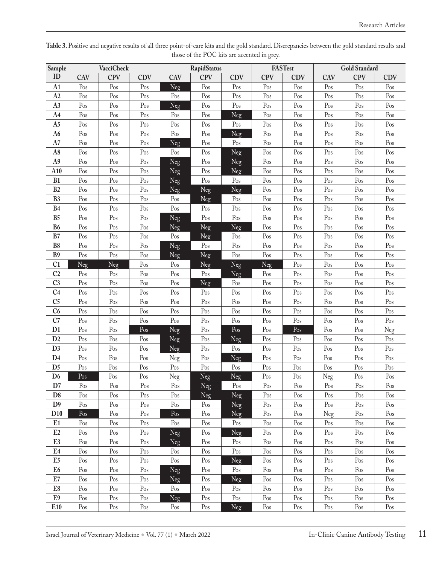| Sample                           |                         | <b>VacciCheck</b>       |                |            | <b>RapidStatus</b>    |                                |                       | FASTest    |                | Gold Standard  |            |
|----------------------------------|-------------------------|-------------------------|----------------|------------|-----------------------|--------------------------------|-----------------------|------------|----------------|----------------|------------|
| ID                               | CAV                     | <b>CPV</b>              | <b>CDV</b>     | <b>CAV</b> | <b>CPV</b>            | <b>CDV</b>                     | <b>CPV</b>            | <b>CDV</b> | CAV            | <b>CPV</b>     | <b>CDV</b> |
| A <sub>1</sub>                   | Pos                     | Pos                     | Pos            | Neg        | Pos                   | Pos                            | Pos                   | Pos        | Pos            | Pos            | Pos        |
| A2                               | Pos                     | Pos                     | Pos            | Pos        | Pos                   | $\mathbf{Pos}$                 | Pos                   | Pos        | Pos            | Pos            | Pos        |
| A3                               | Pos                     | Pos                     | Pos            | <b>Neg</b> | $\mathbf{Pos}$        | Pos                            | Pos                   | Pos        | Pos            | Pos            | Pos        |
| A4                               | Pos                     | Pos                     | Pos            | Pos        | Pos                   | Neg                            | Pos                   | Pos        | Pos            | Pos            | Pos        |
| A5                               | Pos                     | Pos                     | Pos            | Pos        | Pos                   | Pos                            | Pos                   | Pos        | Pos            | Pos            | Pos        |
| A6                               | Pos                     | Pos                     | Pos            | Pos        | Pos                   | Neg                            | Pos                   | Pos        | Pos            | Pos            | Pos        |
| A7                               | Pos                     | Pos                     | Pos            | Neg        | $\mathbf{Pos}$        | Pos                            | Pos                   | Pos        | $\mathbf{Pos}$ | Pos            | Pos        |
| $\rm A8$                         | Pos                     | $\mathbf{Pos}$          | Pos            | Pos        | $\mathbf{Pos}$        | Neg                            | $\mathbf{p}_{\rm OS}$ | Pos        | Pos            | Pos            | Pos        |
| A9                               | Pos                     | Pos                     | Pos            | Neg        | Pos                   | Neg                            | Pos                   | Pos        | Pos            | Pos            | Pos        |
| A10                              | Pos                     | $\mathop{\mathrm{Pos}}$ | Pos            | Neg        | $\mathbf{Pos}$        | Neg                            | Pos                   | Pos        | Pos            | Pos            | Pos        |
| B1                               | Pos                     | Pos                     | Pos            | Neg        | Pos                   | Pos                            | Pos                   | Pos        | Pos            | Pos            | Pos        |
| B2                               | Pos                     | $\mathbf{Pos}$          | Pos            | Neg        | Neg                   | Neg                            | Pos                   | Pos        | Pos            | Pos            | Pos        |
| B <sub>3</sub>                   | Pos                     | $\mathop{\mathrm{Pos}}$ | Pos            | Pos        | Neg                   | Pos                            | Pos                   | Pos        | Pos            | Pos            | Pos        |
| B <sub>4</sub>                   | Pos                     | Pos                     | Pos            | Pos        | Pos                   | Pos                            | Pos                   | Pos        | Pos            | Pos            | Pos        |
| B <sub>5</sub>                   | Pos                     | Pos                     | Pos            | Neg        | Pos                   | Pos                            | Pos                   | Pos        | Pos            | Pos            | Pos        |
| <b>B6</b>                        | $\mathop{\mathrm{Pos}}$ | $\mathbf{Pos}$          | Pos            | Neg        | Neg                   | Neg                            | Pos                   | Pos        | Pos            | Pos            | Pos        |
| B7                               | Pos                     | Pos                     | Pos            | Pos        | Neg                   | Pos                            | Pos                   | Pos        | Pos            | Pos            | Pos        |
| B <sub>8</sub>                   | $\mathbf{Pos}$          | $\mathbf{Pos}$          | Pos            | Neg        | Pos                   | $\mathbf{Pos}$                 | Pos                   | Pos        | Pos            | Pos            | Pos        |
| B <sub>9</sub>                   | Pos                     | Pos                     | Pos            | Neg        | Neg                   | Pos                            | Pos                   | Pos        | Pos            | Pos            | Pos        |
| C <sub>1</sub>                   | Neg                     | Neg                     | Pos            | Pos        | Neg                   | Neg                            | Neg                   | Pos        | Pos            | Pos            | Pos        |
| C <sub>2</sub>                   | Pos                     | Pos                     | Pos            | Pos        | Pos                   | Neg                            | Pos                   | Pos        | Pos            | Pos            | Pos        |
| C <sub>3</sub>                   | $\mathop{\mathrm{Pos}}$ | Pos                     | Pos            | Pos        | Neg                   | Pos                            | Pos                   | Pos        | Pos            | Pos            | Pos        |
| C <sub>4</sub>                   | Pos                     | Pos                     | Pos            | Pos        | Pos                   | Pos                            | Pos                   | Pos        | Pos            | Pos            | Pos        |
| C <sub>5</sub>                   | Pos                     | Pos                     | Pos            | Pos        | Pos                   | Pos                            | Pos                   | Pos        | Pos            | Pos            | Pos        |
| C6                               | Pos                     | Pos                     | Pos            | Pos        | Pos                   | Pos                            | Pos                   | Pos        | Pos            | Pos            | Pos        |
| C7                               | Pos                     | Pos                     | Pos            | Pos        | Pos                   | Pos                            | Pos                   | Pos        | Pos            | Pos            | Pos        |
| D <sub>1</sub>                   | Pos                     | $\mathbf{Pos}$          | Pos            | Neg        | Pos                   | $\mathbf{Pos}$                 | Pos                   | Pos        | $\mathbf{Pos}$ | Pos            | Neg        |
| D2                               | Pos                     | Pos                     | Pos            | Neg        | Pos                   | Neg                            | Pos                   | Pos        | Pos            | Pos            | Pos        |
| D <sub>3</sub>                   | $\mathbf{Pos}$          | Pos                     | Pos            | Neg        | Pos                   | Pos                            | Pos                   | Pos        | Pos            | Pos            | Pos        |
| D <sub>4</sub>                   | Pos                     | Pos                     | Pos            | Neg        | Pos                   | Neg                            | Pos                   | Pos        | Pos            | Pos            | Pos        |
| D <sub>5</sub>                   | $\mathbf{p}_{\rm OS}$   | Pos                     | Pos            | Pos        | Pos                   | Pos                            | Pos                   | Pos        | Pos            | Pos            | Pos        |
| D <sub>6</sub>                   | Pos                     | Pos                     | Pos            | Neg        | Neg                   | Neg                            | Pos                   | Pos        | Neg            | Pos            | Pos        |
| $\mathbf{D}7$                    | Pos                     | Pos                     | Pos            | Pos        | Neg                   | Pos                            | Pos                   | Pos        | Pos            | Pos            | Pos        |
| D <sub>8</sub><br>D <sub>9</sub> | Pos<br>Pos              | Pos<br>Pos              | Pos            | Pos<br>Pos | Neg<br>$\mathbf{Pos}$ | Neg                            | Pos<br>Pos            | Pos        | Pos            | Pos<br>Pos     | Pos        |
| D10                              | Pos                     | Pos                     | Pos<br>Pos     | Pos        | Pos                   | Neg                            | Pos                   | Pos        | Pos            | Pos            | Pos<br>Pos |
| E1                               | Pos                     | Pos                     | Pos            | Pos        | Pos                   | Neg<br>$\mathop{\mathrm{Pos}}$ | Pos                   | Pos<br>Pos | Neg<br>Pos     | Pos            | Pos        |
| E2                               | Pos                     | Pos                     | Pos            |            | Pos                   |                                |                       | Pos        | Pos            | Pos            | Pos        |
|                                  |                         |                         |                | Neg        |                       | Neg                            | Pos                   |            |                |                |            |
| E <sub>3</sub><br>E <sub>4</sub> | Pos<br>Pos              | Pos<br>Pos              | Pos<br>Pos     | Neg        | Pos<br>Pos            | Pos<br>Pos                     | Pos<br>Pos            | Pos        | Pos<br>Pos     | Pos<br>Pos     | Pos<br>Pos |
| E5                               | Pos                     | $\mathop{\mathrm{Pos}}$ | Pos            | Pos        |                       |                                | Pos                   | Pos        | Pos            | Pos            | Pos        |
|                                  |                         |                         |                | Pos        | Pos                   | Neg                            |                       | Pos        |                |                |            |
| E <sub>6</sub><br>$\mathbf{E}7$  | Pos<br>Pos              | Pos<br>Pos              | Pos            | Neg        | Pos                   | Pos                            | Pos<br>Pos            | Pos        | Pos<br>Pos     | Pos            | Pos<br>Pos |
| ${\rm E}8$                       | Pos                     | Pos                     | Pos<br>Pos     | Neg        | Pos<br>Pos            | Neg<br>Pos                     | Pos                   | Pos        |                | Pos            | Pos        |
| E9                               |                         |                         |                | Pos        |                       |                                |                       | Pos        | Pos            | Pos            |            |
|                                  | Pos                     | $\mathop{\mathrm{Pos}}$ | $\mathbf{Pos}$ | Neg        | $\mathbf{Pos}$        | $\mathop{\mathrm{Pos}}$        | Pos                   | Pos        | Pos            | $\mathbf{Pos}$ | Pos        |
| E10                              | $\mathop{\mathrm{Pos}}$ | $\mathop{\mathrm{Pos}}$ | Pos            | Pos        | Pos                   | Neg                            | Pos                   | Pos        | Pos            | Pos            | Pos        |

Table 3. Positive and negative results of all three point-of-care kits and the gold standard. Discrepancies between the gold standard results and those of the POC kits are accented in grey.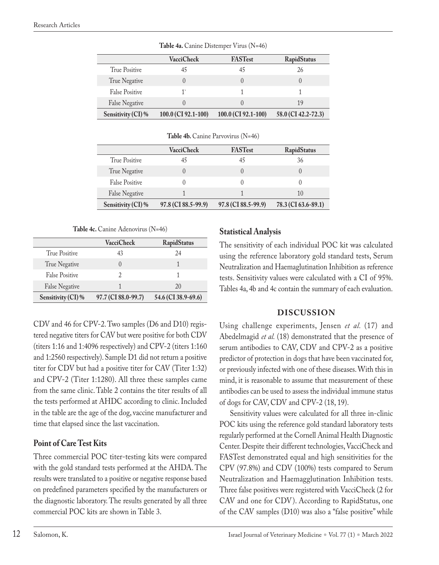|                       | <b>VacciCheck</b>   | <b>FASTest</b>      | RapidStatus         |
|-----------------------|---------------------|---------------------|---------------------|
| True Positive         |                     |                     | 26                  |
| True Negative         |                     |                     |                     |
| <b>False Positive</b> | 1`                  |                     |                     |
| <b>False Negative</b> |                     |                     | 19                  |
| Sensitivity (CI)%     | 100.0 (CI 92.1-100) | 100.0 (CI 92.1-100) | 58.0 (CI 42.2-72.3) |

**Table 4a.** Canine Distemper Virus (N=46)

Table 4b. Canine Parvovirus (N=46)

|                       | VacciCheck          | <b>FASTest</b>      | RapidStatus         |
|-----------------------|---------------------|---------------------|---------------------|
| True Positive         | 45                  | 45                  | 36                  |
| True Negative         |                     |                     |                     |
| <b>False Positive</b> |                     |                     |                     |
| <b>False Negative</b> |                     |                     | 1()                 |
| Sensitivity (CI) %    | 97.8 (CI 88.5-99.9) | 97.8 (CI 88.5-99.9) | 78.3 (CI 63.6-89.1) |

Table 4c. Canine Adenovirus (N=46)

|                       | VacciCheck          | RapidStatus         |
|-----------------------|---------------------|---------------------|
| True Positive         | 43                  | 24                  |
| True Negative         |                     |                     |
| <b>False Positive</b> | 2                   |                     |
| <b>False Negative</b> |                     | 20                  |
| Sensitivity (CI) %    | 97.7 (CI 88.0-99.7) | 54.6 (CI 38.9-69.6) |

CDV and 46 for CPV-2. Two samples (D6 and D10) registered negative titers for CAV but were positive for both CDV (titers 1:16 and 1:4096 respectively) and CPV-2 (titers 1:160 and 1:2560 respectively). Sample D1 did not return a positive titer for CDV but had a positive titer for CAV (Titer 1:32) and CPV-2 (Titer 1:1280). All three these samples came from the same clinic. Table 2 contains the titer results of all the tests performed at AHDC according to clinic. Included in the table are the age of the dog, vaccine manufacturer and time that elapsed since the last vaccination.

# **Point of Care Test Kits**

Three commercial POC titer-testing kits were compared with the gold standard tests performed at the AHDA. The results were translated to a positive or negative response based on predefined parameters specified by the manufacturers or the diagnostic laboratory. The results generated by all three commercial POC kits are shown in Table 3.

## **Statistical Analysis**

The sensitivity of each individual POC kit was calculated using the reference laboratory gold standard tests, Serum Neutralization and Haemaglutination Inhibition as reference tests. Sensitivity values were calculated with a CI of 95%. Tables 4a, 4b and 4c contain the summary of each evaluation.

## **DISCUSSION**

Using challenge experiments, Jensen *et al.* (17) and Abedelmagid et al. (18) demonstrated that the presence of serum antibodies to CAV, CDV and CPV-2 as a positive predictor of protection in dogs that have been vaccinated for, or previously infected with one of these diseases. With this in mind, it is reasonable to assume that measurement of these antibodies can be used to assess the individual immune status of dogs for CAV, CDV and CPV-2 (18, 19).

Sensitivity values were calculated for all three in-clinic POC kits using the reference gold standard laboratory tests regularly performed at the Cornell Animal Health Diagnostic Center. Despite their different technologies, VacciCheck and FASTest demonstrated equal and high sensitivities for the CPV (97.8%) and CDV (100%) tests compared to Serum Neutralization and Haemagglutination Inhibition tests. Three false positives were registered with VacciCheck (2 for CAV and one for CDV). According to RapidStatus, one of the CAV samples (D10) was also a "false positive" while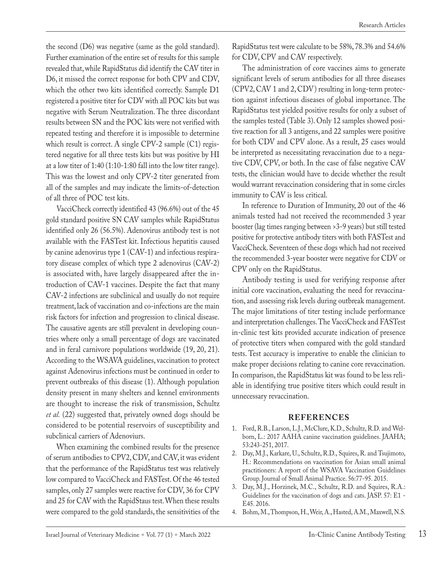Research Articles

the second (D6) was negative (same as the gold standard). Further examination of the entire set of results for this sample revealed that, while RapidStatus did identify the CAV titer in D6, it missed the correct response for both CPV and CDV, which the other two kits identified correctly. Sample D1 registered a positive titer for CDV with all POC kits but was negative with Serum Neutralization. The three discordant results between SN and the POC kits were not verified with repeated testing and therefore it is impossible to determine which result is correct. A single CPV-2 sample (C1) registered negative for all three tests kits but was positive by HI at a low titer of 1:40 (1:10-1:80 fall into the low titer range). This was the lowest and only CPV-2 titer generated from all of the samples and may indicate the limits-of-detection of all three of POC test kits.

VacciCheck correctly identified 43 (96.6%) out of the 45 gold standard positive SN CAV samples while RapidStatus identified only 26 (56.5%). Adenovirus antibody test is not available with the FASTest kit. Infectious hepatitis caused by canine adenovirus type 1 (CAV-1) and infectious respiratory disease complex of which type 2 adenovirus (CAV-2) is associated with, have largely disappeared after the introduction of CAV-1 vaccines. Despite the fact that many CAV-2 infections are subclinical and usually do not require treatment, lack of vaccination and co-infections are the main risk factors for infection and progression to clinical disease. The causative agents are still prevalent in developing countries where only a small percentage of dogs are vaccinated and in feral carnivore populations worldwide (19, 20, 21). According to the WSAVA guidelines, vaccination to protect against Adenovirus infections must be continued in order to prevent outbreaks of this disease (1). Although population density present in many shelters and kennel environments are thought to increase the risk of transmission, Schultz *et al.* (22) suggested that, privately owned dogs should be considered to be potential reservoirs of susceptibility and subclinical carriers of Adenoviurs.

When examining the combined results for the presence of serum antibodies to CPV2, CDV, and CAV, it was evident that the performance of the RapidStatus test was relatively low compared to VacciCheck and FASTest. Of the 46 tested samples, only 27 samples were reactive for CDV, 36 for CPV and 25 for CAV with the RapidStaus test. When these results were compared to the gold standards, the sensitivities of the

RapidStatus test were calculate to be 58%, 78.3% and 54.6% for CDV, CPV and CAV respectively.

The administration of core vaccines aims to generate significant levels of serum antibodies for all three diseases (CPV2, CAV 1 and 2, CDV) resulting in long-term protection against infectious diseases of global importance. The RapidStatus test yielded positive results for only a subset of the samples tested (Table 3). Only 12 samples showed positive reaction for all 3 antigens, and 22 samples were positive for both CDV and CPV alone. As a result, 25 cases would be interpreted as necessitating revaccination due to a negative CDV, CPV, or both. In the case of false negative CAV tests, the clinician would have to decide whether the result would warrant revaccination considering that in some circles immunity to CAV is less critical.

In reference to Duration of Immunity, 20 out of the 46 animals tested had not received the recommended 3 year booster (lag times ranging between >3-9 years) but still tested positive for protective antibody titers with both FASTest and VacciCheck. Seventeen of these dogs which had not received the recommended 3-year booster were negative for CDV or CPV only on the RapidStatus.

Antibody testing is used for verifying response after initial core vaccination, evaluating the need for revaccination, and assessing risk levels during outbreak management. The major limitations of titer testing include performance and interpretation challenges. The VacciCheck and FASTest in-clinic test kits provided accurate indication of presence of protective titers when compared with the gold standard tests. Test accuracy is imperative to enable the clinician to make proper decisions relating to canine core revaccination. In comparison, the RapidStatus kit was found to be less reliable in identifying true positive titers which could result in unnecessary revaccination.

#### **REFERENCES**

- 1. Ford, R.B., Larson, L.J., McClure, K.D., Schultz, R.D. and Welborn, L.: 2017 AAHA canine vaccination guidelines. JAAHA; 53:243-251, 2017.
- 2. Day, M.J., Karkare, U., Schultz, R.D., Squires, R. and Tsujimoto, H.: Recommendations on vaccination for Asian small animal practitioners: A report of the WSAVA Vaccination Guidelines Group. Journal of Small Animal Practice. 56:77-95. 2015.
- 3. Day, M.J., Horzinek, M.C., Schultz, R.D. and Squires, R.A.: Guidelines for the vaccination of dogs and cats. JASP. 57: E1 - E45. 2016.
- 4. Bohm, M., Thompson, H., Weir, A., Hasted, A.M., Maxwell, N.S.